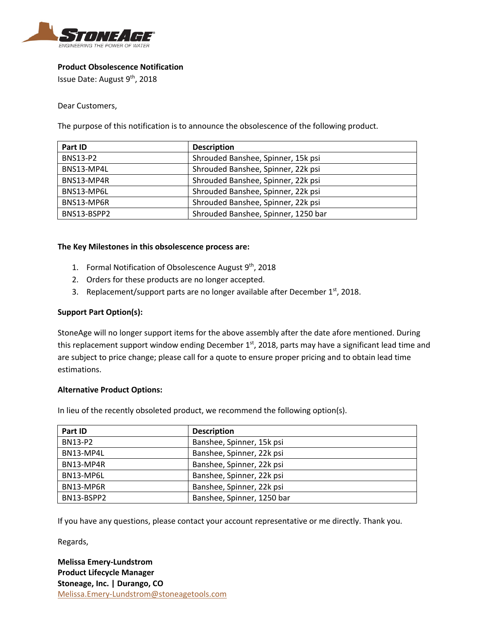

## **Product Obsolescence Notification**

Issue Date: August 9th, 2018

Dear Customers,

The purpose of this notification is to announce the obsolescence of the following product.

| Part ID         | <b>Description</b>                  |
|-----------------|-------------------------------------|
| <b>BNS13-P2</b> | Shrouded Banshee, Spinner, 15k psi  |
| BNS13-MP4L      | Shrouded Banshee, Spinner, 22k psi  |
| BNS13-MP4R      | Shrouded Banshee, Spinner, 22k psi  |
| BNS13-MP6L      | Shrouded Banshee, Spinner, 22k psi  |
| BNS13-MP6R      | Shrouded Banshee, Spinner, 22k psi  |
| BNS13-BSPP2     | Shrouded Banshee, Spinner, 1250 bar |

## **The Key Milestones in this obsolescence process are:**

- 1. Formal Notification of Obsolescence August 9<sup>th</sup>, 2018
- 2. Orders for these products are no longer accepted.
- 3. Replacement/support parts are no longer available after December  $1<sup>st</sup>$ , 2018.

## **Support Part Option(s):**

StoneAge will no longer support items for the above assembly after the date afore mentioned. During this replacement support window ending December 1<sup>st</sup>, 2018, parts may have a significant lead time and are subject to price change; please call for a quote to ensure proper pricing and to obtain lead time estimations.

## **Alternative Product Options:**

In lieu of the recently obsoleted product, we recommend the following option(s).

| Part ID        | <b>Description</b>         |
|----------------|----------------------------|
| <b>BN13-P2</b> | Banshee, Spinner, 15k psi  |
| BN13-MP4L      | Banshee, Spinner, 22k psi  |
| BN13-MP4R      | Banshee, Spinner, 22k psi  |
| BN13-MP6L      | Banshee, Spinner, 22k psi  |
| BN13-MP6R      | Banshee, Spinner, 22k psi  |
| BN13-BSPP2     | Banshee, Spinner, 1250 bar |

If you have any questions, please contact your account representative or me directly. Thank you.

Regards,

**Melissa Emery-Lundstrom Product Lifecycle Manager Stoneage, Inc. | Durango, CO** Melissa.Emery-Lundstrom@stoneagetools.com